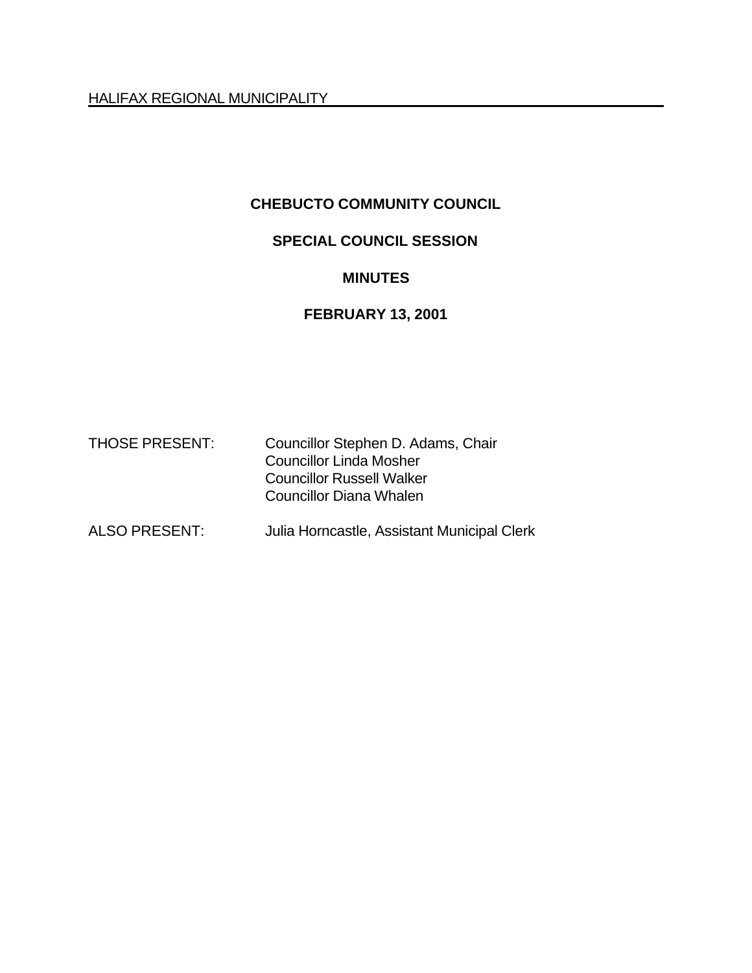HALIFAX REGIONAL MUNICIPALITY

### **CHEBUCTO COMMUNITY COUNCIL**

### **SPECIAL COUNCIL SESSION**

#### **MINUTES**

# **FEBRUARY 13, 2001**

| <b>THOSE PRESENT:</b> | Councillor Stephen D. Adams, Chair |
|-----------------------|------------------------------------|
|                       | <b>Councillor Linda Mosher</b>     |
|                       | <b>Councillor Russell Walker</b>   |
|                       | <b>Councillor Diana Whalen</b>     |
|                       |                                    |

## ALSO PRESENT: Julia Horncastle, Assistant Municipal Clerk